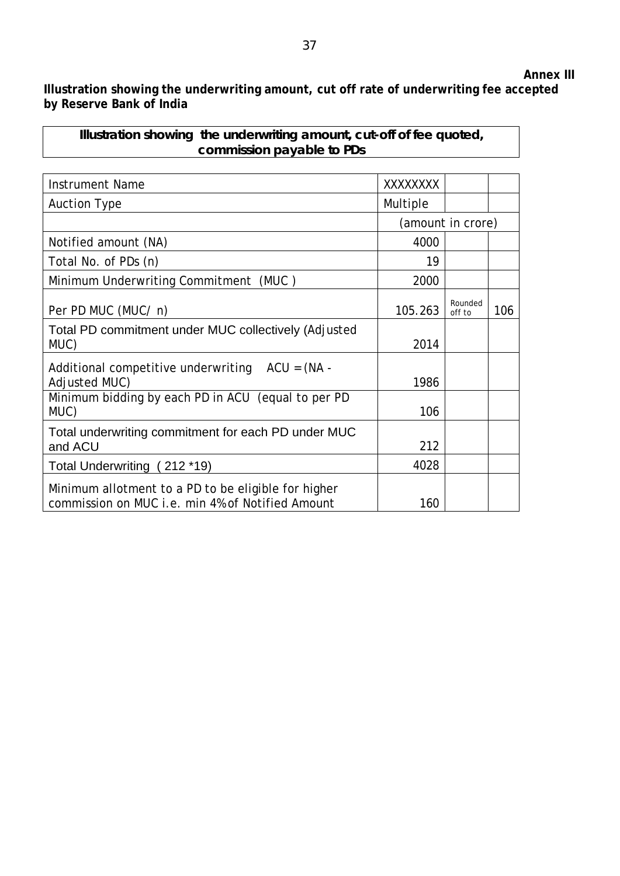## **Annex III**

**Illustration showing the underwriting amount, cut off rate of underwriting fee accepted by Reserve Bank of India** 

## **Illustration showing the underwriting amount, cut-off of fee quoted, commission payable to PDs**

| Instrument Name                                                                                         | XXXXXXXX          |                   |     |
|---------------------------------------------------------------------------------------------------------|-------------------|-------------------|-----|
| <b>Auction Type</b>                                                                                     | Multiple          |                   |     |
|                                                                                                         | (amount in crore) |                   |     |
| Notified amount (NA)                                                                                    | 4000              |                   |     |
| Total No. of PDs (n)                                                                                    | 19                |                   |     |
| Minimum Underwriting Commitment (MUC)                                                                   | 2000              |                   |     |
| Per PD MUC (MUC/ n)                                                                                     | 105.263           | Rounded<br>off to | 106 |
| Total PD commitment under MUC collectively (Adjusted<br>MUC)                                            | 2014              |                   |     |
| Additional competitive underwriting $ACU = (NA -$<br>Adjusted MUC)                                      | 1986              |                   |     |
| Minimum bidding by each PD in ACU (equal to per PD<br>MUC)                                              | 106               |                   |     |
| Total underwriting commitment for each PD under MUC<br>and ACU                                          | 212               |                   |     |
| Total Underwriting (212 *19)                                                                            | 4028              |                   |     |
| Minimum allotment to a PD to be eligible for higher<br>commission on MUC i.e. min 4% of Notified Amount | 160               |                   |     |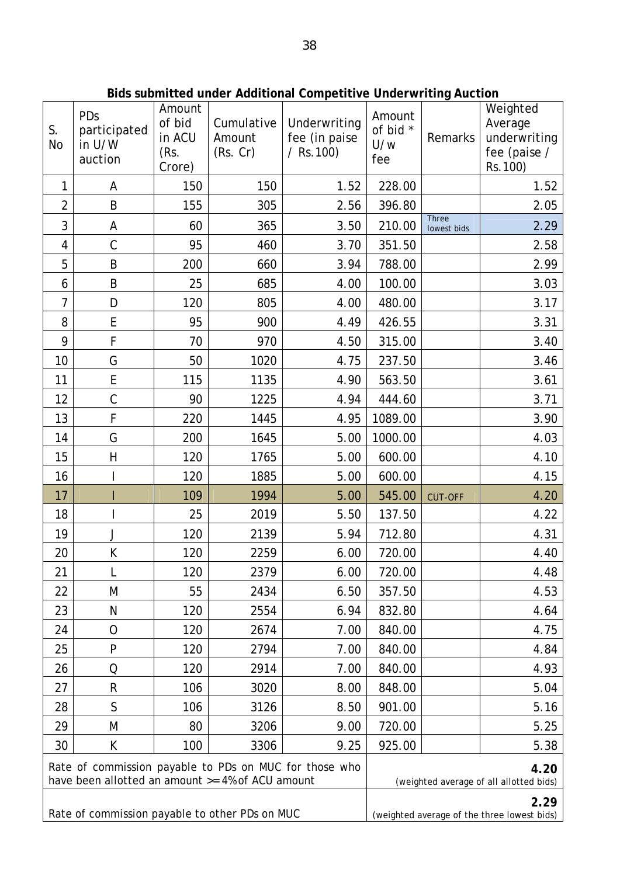| S.<br><b>No</b>                                                                                            | PDs<br>participated<br>in U/W<br>auction | Amount<br>of bid<br>in ACU<br>(Rs.<br>Crore) | Cumulative<br>Amount<br>(Rs. Cr) | Underwriting<br>fee (in paise<br>$/$ Rs. 100)       | Amount<br>of bid *<br>U/w<br>fee | Remarks                     | Weighted<br>Average<br>underwriting<br>fee (paise /<br>Rs.100) |
|------------------------------------------------------------------------------------------------------------|------------------------------------------|----------------------------------------------|----------------------------------|-----------------------------------------------------|----------------------------------|-----------------------------|----------------------------------------------------------------|
| 1                                                                                                          | Α                                        | 150                                          | 150                              | 1.52                                                | 228.00                           |                             | 1.52                                                           |
| $\overline{2}$                                                                                             | B                                        | 155                                          | 305                              | 2.56                                                | 396.80                           |                             | 2.05                                                           |
| 3                                                                                                          | А                                        | 60                                           | 365                              | 3.50                                                | 210.00                           | <b>Three</b><br>lowest bids | 2.29                                                           |
| 4                                                                                                          | $\mathcal{C}$                            | 95                                           | 460                              | 3.70                                                | 351.50                           |                             | 2.58                                                           |
| 5                                                                                                          | B                                        | 200                                          | 660                              | 3.94                                                | 788.00                           |                             | 2.99                                                           |
| 6                                                                                                          | B                                        | 25                                           | 685                              | 4.00                                                | 100.00                           |                             | 3.03                                                           |
| $\overline{7}$                                                                                             | D                                        | 120                                          | 805                              | 4.00                                                | 480.00                           |                             | 3.17                                                           |
| 8                                                                                                          | E                                        | 95                                           | 900                              | 4.49                                                | 426.55                           |                             | 3.31                                                           |
| 9                                                                                                          | F                                        | 70                                           | 970                              | 4.50                                                | 315.00                           |                             | 3.40                                                           |
| 10                                                                                                         | G                                        | 50                                           | 1020                             | 4.75                                                | 237.50                           |                             | 3.46                                                           |
| 11                                                                                                         | E                                        | 115                                          | 1135                             | 4.90                                                | 563.50                           |                             | 3.61                                                           |
| 12                                                                                                         | $\mathsf C$                              | 90                                           | 1225                             | 4.94                                                | 444.60                           |                             | 3.71                                                           |
| 13                                                                                                         | F                                        | 220                                          | 1445                             | 4.95                                                | 1089.00                          |                             | 3.90                                                           |
| 14                                                                                                         | G                                        | 200                                          | 1645                             | 5.00                                                | 1000.00                          |                             | 4.03                                                           |
| 15                                                                                                         | $\overline{\mathsf{H}}$                  | 120                                          | 1765                             | 5.00                                                | 600.00                           |                             | 4.10                                                           |
| 16                                                                                                         |                                          | 120                                          | 1885                             | 5.00                                                | 600.00                           |                             | 4.15                                                           |
| 17                                                                                                         |                                          | 109                                          | 1994                             | 5.00                                                | 545.00                           | <b>CUT-OFF</b>              | 4.20                                                           |
| 18                                                                                                         |                                          | 25                                           | 2019                             | 5.50                                                | 137.50                           |                             | 4.22                                                           |
| 19                                                                                                         | J                                        | 120                                          | 2139                             | 5.94                                                | 712.80                           |                             | 4.31                                                           |
| 20                                                                                                         | K                                        | 120                                          | 2259                             | 6.00                                                | 720.00                           |                             | 4.40                                                           |
| 21                                                                                                         | L                                        | 120                                          | 2379                             | 6.00                                                | 720.00                           |                             | 4.48                                                           |
| 22                                                                                                         | M                                        | 55                                           | 2434                             | 6.50                                                | 357.50                           |                             | 4.53                                                           |
| 23                                                                                                         | N                                        | 120                                          | 2554                             | 6.94                                                | 832.80                           |                             | 4.64                                                           |
| 24                                                                                                         | 0                                        | 120                                          | 2674                             | 7.00                                                | 840.00                           |                             | 4.75                                                           |
| 25                                                                                                         | P                                        | 120                                          | 2794                             | 7.00                                                | 840.00                           |                             | 4.84                                                           |
| 26                                                                                                         | Q                                        | 120                                          | 2914                             | 7.00                                                | 840.00                           |                             | 4.93                                                           |
| 27                                                                                                         | R                                        | 106                                          | 3020                             | 8.00                                                | 848.00                           |                             | 5.04                                                           |
| 28                                                                                                         | S                                        | 106                                          | 3126                             | 8.50                                                | 901.00                           |                             | 5.16                                                           |
| 29                                                                                                         | M                                        | 80                                           | 3206                             | 9.00                                                | 720.00                           |                             | 5.25                                                           |
| 30                                                                                                         | К                                        | 100                                          | 3306                             | 9.25                                                | 925.00                           |                             | 5.38                                                           |
| Rate of commission payable to PDs on MUC for those who<br>have been allotted an amount >= 4% of ACU amount |                                          |                                              |                                  | 4.20<br>(weighted average of all allotted bids)     |                                  |                             |                                                                |
| Rate of commission payable to other PDs on MUC                                                             |                                          |                                              |                                  | 2.29<br>(weighted average of the three lowest bids) |                                  |                             |                                                                |

**Bids submitted under Additional Competitive Underwriting Auction**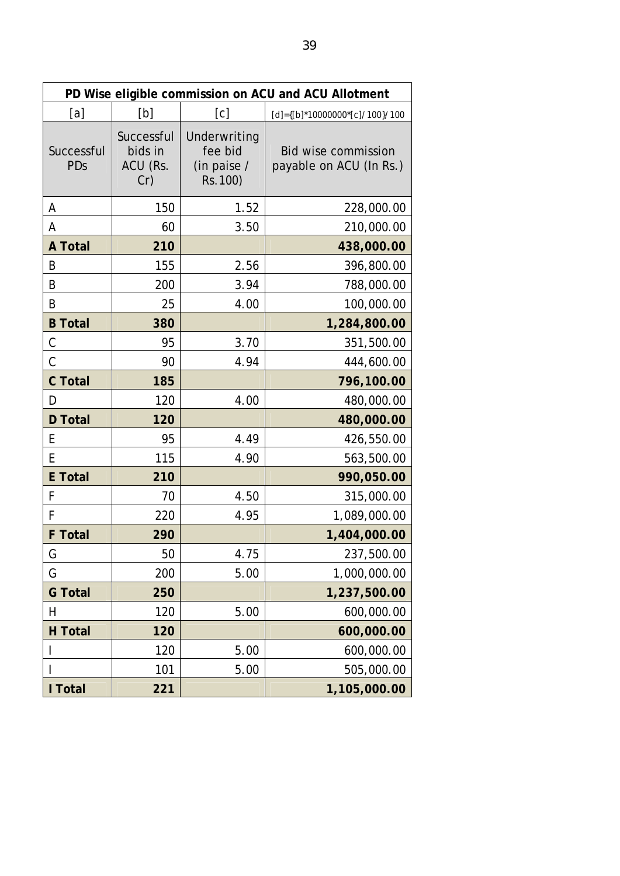| PD Wise eligible commission on ACU and ACU Allotment |                                          |                                                    |                                                       |  |  |  |  |
|------------------------------------------------------|------------------------------------------|----------------------------------------------------|-------------------------------------------------------|--|--|--|--|
| [a]                                                  | [b]                                      | [c]<br>[d]={[b]*10000000*[c]/100}/100              |                                                       |  |  |  |  |
| Successful<br>PDs                                    | Successful<br>bids in<br>ACU (Rs.<br>Cr) | Underwriting<br>fee bid<br>(in paise /<br>Rs. 100) | <b>Bid wise commission</b><br>payable on ACU (In Rs.) |  |  |  |  |
| А                                                    | 150                                      | 1.52                                               | 228,000.00                                            |  |  |  |  |
| А                                                    | 60                                       | 3.50                                               | 210,000.00                                            |  |  |  |  |
| <b>A</b> Total                                       | 210                                      |                                                    | 438,000.00                                            |  |  |  |  |
| B                                                    | 155                                      | 2.56                                               | 396,800.00                                            |  |  |  |  |
| B                                                    | 200                                      | 3.94                                               | 788,000.00                                            |  |  |  |  |
| Β                                                    | 25                                       | 4.00                                               | 100,000.00                                            |  |  |  |  |
| <b>B</b> Total                                       | 380                                      |                                                    | 1,284,800.00                                          |  |  |  |  |
| C                                                    | 95                                       | 3.70                                               | 351,500.00                                            |  |  |  |  |
| C                                                    | 90                                       | 4.94                                               | 444,600.00                                            |  |  |  |  |
| <b>C</b> Total                                       | 185                                      |                                                    | 796,100.00                                            |  |  |  |  |
| D                                                    | 120                                      | 4.00                                               | 480,000.00                                            |  |  |  |  |
| <b>D</b> Total                                       | 120                                      |                                                    | 480,000.00                                            |  |  |  |  |
| E                                                    | 95                                       | 4.49                                               | 426,550.00                                            |  |  |  |  |
| E                                                    | 115                                      | 4.90                                               | 563,500.00                                            |  |  |  |  |
| <b>E</b> Total                                       | 210                                      |                                                    | 990,050.00                                            |  |  |  |  |
| F                                                    | 70                                       | 4.50                                               | 315,000.00                                            |  |  |  |  |
| F                                                    | 220                                      | 4.95                                               | 1,089,000.00                                          |  |  |  |  |
| <b>F</b> Total                                       | 290                                      |                                                    | 1,404,000.00                                          |  |  |  |  |
| G                                                    | 50                                       | 4.75                                               | 237,500.00                                            |  |  |  |  |
| G                                                    | 200                                      | 5.00                                               | 1,000,000.00                                          |  |  |  |  |
| <b>G</b> Total                                       | 250                                      |                                                    | 1,237,500.00                                          |  |  |  |  |
| Η                                                    | 120                                      | 5.00                                               | 600,000.00                                            |  |  |  |  |
| <b>H</b> Total                                       | 120                                      |                                                    | 600,000.00                                            |  |  |  |  |
|                                                      | 120                                      | 5.00                                               | 600,000.00                                            |  |  |  |  |
|                                                      | 101                                      | 5.00                                               | 505,000.00                                            |  |  |  |  |
| I Total                                              | 221                                      |                                                    | 1,105,000.00                                          |  |  |  |  |